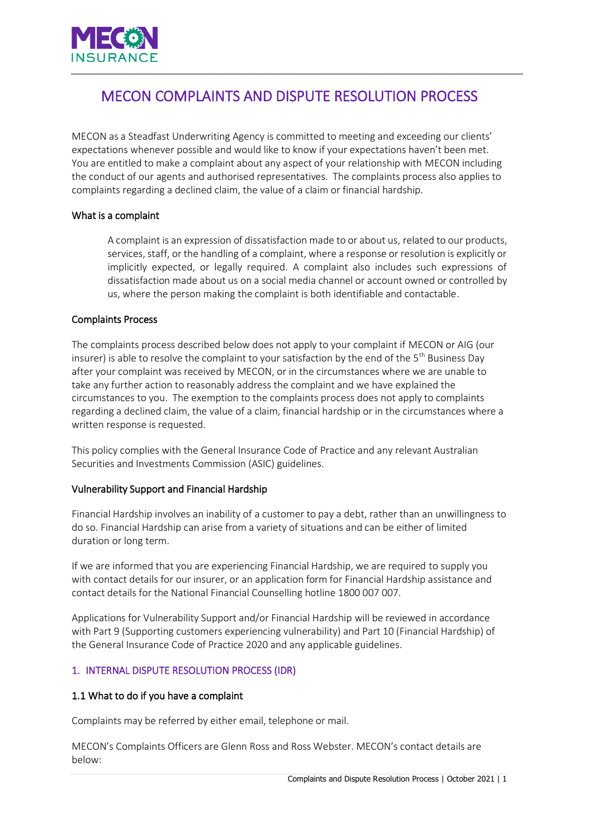

# MECON COMPLAINTS AND DISPUTE RESOLUTION PROCESS

MECON as a Steadfast Underwriting Agency is committed to meeting and exceeding our clients' expectations whenever possible and would like to know if your expectations haven't been met. You are entitled to make a complaint about any aspect of your relationship with MECON including the conduct of our agents and authorised representatives. The complaints process also applies to complaints regarding a declined claim, the value of a claim or financial hardship.

#### What is a complaint

A complaint is an expression of dissatisfaction made to or about us, related to our products, services, staff, or the handling of a complaint, where a response or resolution is explicitly or implicitly expected, or legally required. A complaint also includes such expressions of dissatisfaction made about us on a social media channel or account owned or controlled by us, where the person making the complaint is both identifiable and contactable.

#### Complaints Process

The complaints process described below does not apply to your complaint if MECON or AIG (our insurer) is able to resolve the complaint to your satisfaction by the end of the 5<sup>th</sup> Business Day after your complaint was received by MECON, or in the circumstances where we are unable to take any further action to reasonably address the complaint and we have explained the circumstances to you. The exemption to the complaints process does not apply to complaints regarding a declined claim, the value of a claim, financial hardship or in the circumstances where a written response is requested.

This policy complies with the General Insurance Code of Practice and any relevant Australian Securities and Investments Commission (ASIC) guidelines.

#### Vulnerability Support and Financial Hardship

Financial Hardship involves an inability of a customer to pay a debt, rather than an unwillingness to do so. Financial Hardship can arise from a variety of situations and can be either of limited duration or long term.

If we are informed that you are experiencing Financial Hardship, we are required to supply you with contact details for our insurer, or an application form for Financial Hardship assistance and contact details for the National Financial Counselling hotline 1800 007 007.

Applications for Vulnerability Support and/or Financial Hardship will be reviewed in accordance with Part 9 (Supporting customers experiencing vulnerability) and Part 10 (Financial Hardship) of the General Insurance Code of Practice 2020 and any applicable guidelines.

## 1. INTERNAL DISPUTE RESOLUTION PROCESS (IDR)

## 1.1 What to do if you have a complaint

Complaints may be referred by either email, telephone or mail.

MECON's Complaints Officers are Glenn Ross and Ross Webster. MECON's contact details are below: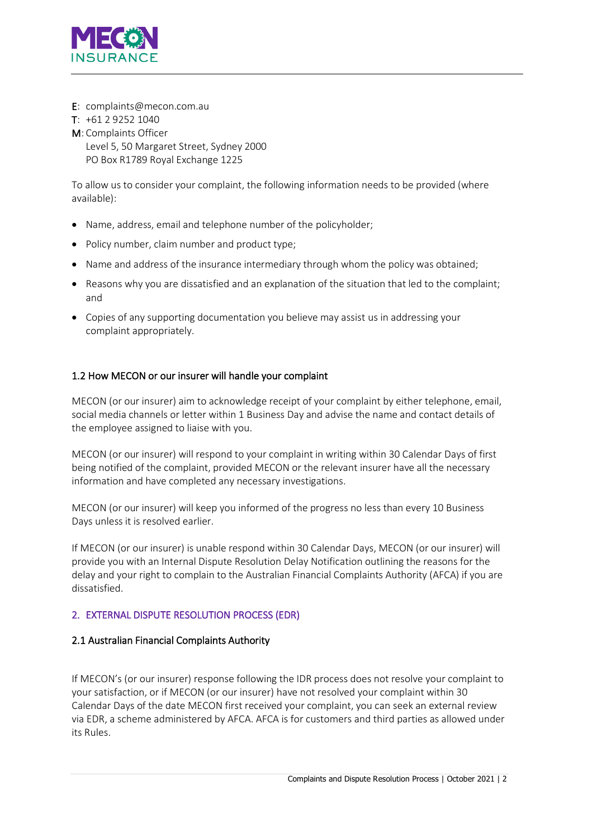

E: complaints@mecon.com.au

## $T: +61292521040$

M: Complaints Officer

Level 5, 50 Margaret Street, Sydney 2000 PO Box R1789 Royal Exchange 1225

To allow us to consider your complaint, the following information needs to be provided (where available):

- Name, address, email and telephone number of the policyholder;
- Policy number, claim number and product type;
- Name and address of the insurance intermediary through whom the policy was obtained;
- Reasons why you are dissatisfied and an explanation of the situation that led to the complaint; and
- Copies of any supporting documentation you believe may assist us in addressing your complaint appropriately.

## 1.2 How MECON or our insurer will handle your complaint

MECON (or our insurer) aim to acknowledge receipt of your complaint by either telephone, email, social media channels or letter within 1 Business Day and advise the name and contact details of the employee assigned to liaise with you.

MECON (or our insurer) will respond to your complaint in writing within 30 Calendar Days of first being notified of the complaint, provided MECON or the relevant insurer have all the necessary information and have completed any necessary investigations.

MECON (or our insurer) will keep you informed of the progress no less than every 10 Business Days unless it is resolved earlier.

If MECON (or our insurer) is unable respond within 30 Calendar Days, MECON (or our insurer) will provide you with an Internal Dispute Resolution Delay Notification outlining the reasons for the delay and your right to complain to the Australian Financial Complaints Authority (AFCA) if you are dissatisfied.

## 2. EXTERNAL DISPUTE RESOLUTION PROCESS (EDR)

## 2.1 Australian Financial Complaints Authority

If MECON's (or our insurer) response following the IDR process does not resolve your complaint to your satisfaction, or if MECON (or our insurer) have not resolved your complaint within 30 Calendar Days of the date MECON first received your complaint, you can seek an external review via EDR, a scheme administered by AFCA. AFCA is for customers and third parties as allowed under its Rules.